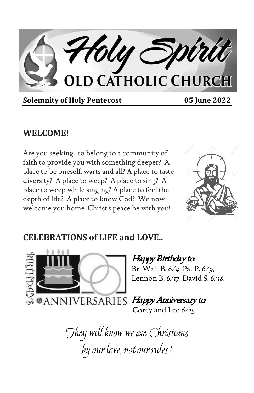Holy Spirit

**Solemnity of Holy Pentecost 05 June 2022** 

### **WELCOME!**

Are you seeking…to belong to a community of faith to provide you with something deeper? A place to be oneself, warts and all? A place to taste diversity? A place to weep? A place to sing? A place to weep while singing? A place to feel the depth of life? A place to know God? We now welcome you home. Christ's peace be with you!



### **CELEBRATIONS of LIFE and LOVE..**



#### Happy Birthday to: Br. Walt B. *6/4,* Pat P. *6/9,*  Lennon B. *6/17,* David S. *6/18.*

Happy Anniversary to:

Corey and Lee *6/25.*

They will know we are Christians by our love, not our rules!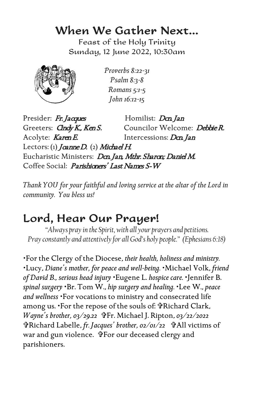### When We Gather Next…

Feast of the Holy Trinity Sunday, 12 June 2022, 10:30am



*Proverbs 8:22-31 Psalm 8:3-8 Romans 5:1-5 John 16:12-15*

Presider: Fr. Jacques Homilist: Dan Jan Greeters: *Gndy K., Ken S.* Councilor Welcome: *Debbie R.* Acolyte: Karen E. Intercessions: Dcn. Jan Lectors: (1) Joanne D. (2) Michael H. Eucharistic Ministers: Dan Jan, Mthr. Sharon; Daniel M. Coffee Social: *Parishioners' Last Names S-W* 

*Thank YOU for your faithful and loving service at the altar of the Lord in community. You bless us!*

## Lord, Hear Our Prayer!

*"Always pray in the Spirit, with all your prayers and petitions. Pray constantly and attentively for all God's holy people." (Ephesians 6:18)*

For the Clergy of the Diocese, *their health, holiness and ministry.* Lucy, *Diane's mother, for peace and well-being.* Michael Volk, *friend of David B., serious head injury* Eugene L. *hospice care.* Jennifer B. *spinal surgery* Br. Tom W., *hip surgery and healing.* Lee W., *peace and wellness* For vocations to ministry and consecrated life among us. 'For the repose of the souls of: PRichard Clark, *Wayne's brother, 03/29.22* <sup>\$</sup>Fr. Michael J. Ripton, 03/22/2022 Richard Labelle, *fr. Jacques' brother, 02/01/22* All victims of war and gun violence. FFor our deceased clergy and parishioners.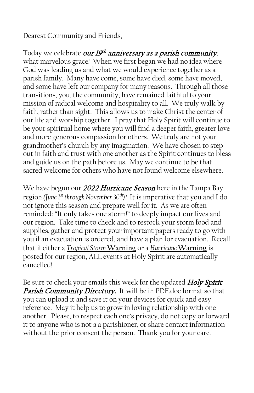Dearest Community and Friends,

Today we celebrate our  $19^{th}$  anniversary as a parish community, what marvelous grace! When we first began we had no idea where God was leading us and what we would experience together as a parish family. Many have come, some have died, some have moved, and some have left our company for many reasons. Through all those transitions, you, the community, have remained faithful to your mission of radical welcome and hospitality to all. We truly walk by faith, rather than sight. This allows us to make Christ the center of our life and worship together. I pray that Holy Spirit will continue to be your spiritual home where you will find a deeper faith, greater love and more generous compassion for others. We truly are not your grandmother's church by any imagination. We have chosen to step out in faith and trust with one another as the Spirit continues to bless and guide us on the path before us. May we continue to be that sacred welcome for others who have not found welcome elsewhere.

We have begun our 2022 Hurricane Season here in the Tampa Bay region *(June 1st through November 30th)!* It is imperative that you and I do not ignore this season and prepare well for it. As we are often reminded: "It only takes one storm!" to deeply impact our lives and our region. Take time to check and to restock your storm food and supplies, gather and protect your important papers ready to go with you if an evacuation is ordered, and have a plan for evacuation. Recall that if either a *Tropical Storm* **Warning** or a *Hurricane* **Warning** is posted for our region, ALL events at Holy Spirit are automatically cancelled!

Be sure to check your emails this week for the updated Holy Spirit Parish Community Directory. It will be in PDF.doc format so that you can upload it and save it on your devices for quick and easy reference. May it help us to grow in loving relationship with one another. Please, to respect each one's privacy, do not copy or forward it to anyone who is not a a parishioner, or share contact information without the prior consent the person. Thank you for your care.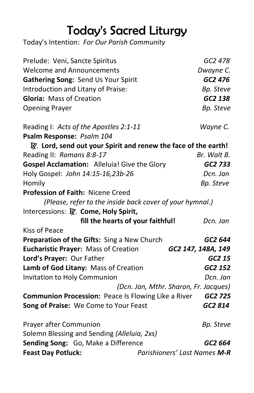# Today's Sacred Liturgy

Today's Intention: *For Our Parish Community*

| Prelude: Veni, Sancte Spiritus                                             | GC2 478                               |
|----------------------------------------------------------------------------|---------------------------------------|
| <b>Welcome and Announcements</b>                                           | Dwayne C.                             |
| Gathering Song: Send Us Your Spirit                                        | GC2 476                               |
| Introduction and Litany of Praise:                                         | Bp. Steve                             |
| <b>Gloria: Mass of Creation</b>                                            | GC2 138                               |
| <b>Opening Prayer</b>                                                      | Bp. Steve                             |
| Reading I: Acts of the Apostles 2:1-11                                     | Wayne C.                              |
| Psalm Response: Psalm 104                                                  |                                       |
| $\mathbb{R}$ . Lord, send out your Spirit and renew the face of the earth! |                                       |
| Reading II: Romans 8:8-17                                                  | Br. Walt B.                           |
| Gospel Acclamation: Alleluia! Give the Glory                               | GC2 733                               |
| Holy Gospel: John 14:15-16,23b-26                                          | Dcn. Jan                              |
| Homily                                                                     | Bp. Steve                             |
| Profession of Faith: Nicene Creed                                          |                                       |
| (Please, refer to the inside back cover of your hymnal.)                   |                                       |
| Intercessions: R. Come, Holy Spirit,                                       |                                       |
| fill the hearts of your faithful!                                          | Dcn. Jan                              |
| Kiss of Peace                                                              |                                       |
| Preparation of the Gifts: Sing a New Church                                | GC2 644                               |
| <b>Eucharistic Prayer: Mass of Creation</b>                                | GC2 147, 148A, 149                    |
| Lord's Prayer: Our Father                                                  | GC2 15                                |
| Lamb of God Litany: Mass of Creation                                       | GC2 152                               |
| <b>Invitation to Holy Communion</b>                                        | Dcn. Jan                              |
|                                                                            | (Dcn. Jan, Mthr. Sharon, Fr. Jacques) |
| <b>Communion Procession:</b> Peace Is Flowing Like a River GC2 725         |                                       |
| Song of Praise: We Come to Your Feast                                      | GC2 814                               |
| Prayer after Communion                                                     | Bp. Steve                             |
| Solemn Blessing and Sending (Alleluia, 2xs)                                |                                       |
| Sending Song: Go, Make a Difference                                        | GC2 664                               |
| <b>Feast Day Potluck:</b>                                                  | Parishioners' Last Names M-R          |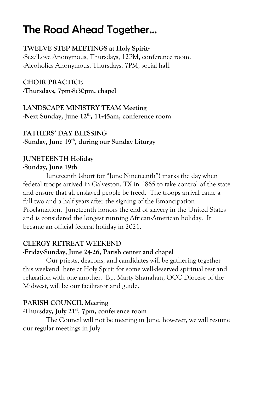## The Road Ahead Together…

#### **TWELVE STEP MEETINGS at Holy Spirit:**

-Sex/Love Anonymous, Thursdays, 12PM, conference room. -Alcoholics Anonymous, Thursdays, 7PM, social hall.

#### **CHOIR PRACTICE -Thursdays, 7pm-8:30pm, chapel**

#### **LANDSCAPE MINISTRY TEAM Meeting -Next Sunday, June 12th, 11:45am, conference room**

#### **FATHERS' DAY BLESSING -Sunday, June 19th, during our Sunday Liturgy**

#### **JUNETEENTH Holiday -Sunday, June 19th**

Juneteenth (short for "June Nineteenth") marks the day when federal troops arrived in Galveston, TX in 1865 to take control of the state and ensure that all enslaved people be freed. The troops arrival came a full two and a half years after the signing of the Emancipation Proclamation. Juneteenth honors the end of slavery in the United States and is considered the longest running African-American holiday. It became an official federal holiday in 2021.

#### **CLERGY RETREAT WEEKEND**

#### **-Friday-Sunday, June 24-26, Parish center and chapel**

Our priests, deacons, and candidates will be gathering together this weekend here at Holy Spirit for some well-deserved spiritual rest and relaxation with one another. Bp. Marty Shanahan, OCC Diocese of the Midwest, will be our facilitator and guide.

#### **PARISH COUNCIL Meeting**

#### **-Thursday, July 21st, 7pm, conference room**

The Council will not be meeting in June, however, we will resume our regular meetings in July.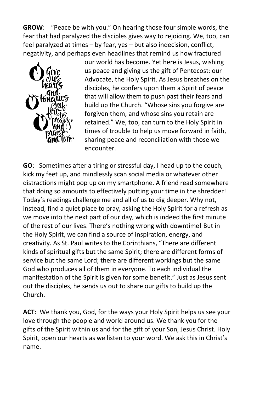**GROW**: "Peace be with you." On hearing those four simple words, the fear that had paralyzed the disciples gives way to rejoicing. We, too, can feel paralyzed at times – by fear, yes – but also indecision, conflict, negativity, and perhaps even headlines that remind us how fractured



our world has become. Yet here is Jesus, wishing us peace and giving us the gift of Pentecost: our Advocate, the Holy Spirit. As Jesus breathes on the disciples, he confers upon them a Spirit of peace that will allow them to push past their fears and build up the Church. "Whose sins you forgive are forgiven them, and whose sins you retain are retained." We, too, can turn to the Holy Spirit in times of trouble to help us move forward in faith, sharing peace and reconciliation with those we encounter.

**GO**: Sometimes after a tiring or stressful day, I head up to the couch, kick my feet up, and mindlessly scan social media or whatever other distractions might pop up on my smartphone. A friend read somewhere that doing so amounts to effectively putting your time in the shredder! Today's readings challenge me and all of us to dig deeper. Why not, instead, find a quiet place to pray, asking the Holy Spirit for a refresh as we move into the next part of our day, which is indeed the first minute of the rest of our lives. There's nothing wrong with downtime! But in the Holy Spirit, we can find a source of inspiration, energy, and creativity. As St. Paul writes to the Corinthians, "There are different kinds of spiritual gifts but the same Spirit; there are different forms of service but the same Lord; there are different workings but the same God who produces all of them in everyone. To each individual the manifestation of the Spirit is given for some benefit." Just as Jesus sent out the disciples, he sends us out to share our gifts to build up the Church.

**ACT**: We thank you, God, for the ways your Holy Spirit helps us see your love through the people and world around us. We thank you for the gifts of the Spirit within us and for the gift of your Son, Jesus Christ. Holy Spirit, open our hearts as we listen to your word. We ask this in Christ's name.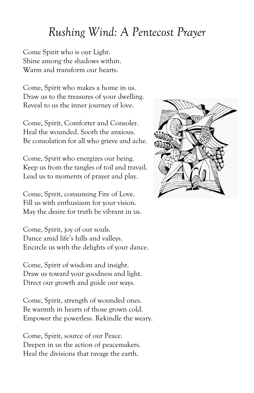## *Rushing Wind: A Pentecost Prayer*

Come Spirit who is our Light. Shine among the shadows within. Warm and transform our hearts.

Come, Spirit who makes a home in us. Draw us to the treasures of your dwelling. Reveal to us the inner journey of love.

Come, Spirit, Comforter and Consoler. Heal the wounded. Sooth the anxious. Be consolation for all who grieve and ache.

Come, Spirit who energizes our being. Keep us from the tangles of toil and travail. Lead us to moments of prayer and play.

Come, Spirit, consuming Fire of Love. Fill us with enthusiasm for your vision. May the desire for truth be vibrant in us.

Come, Spirit, joy of our souls. Dance amid life's hills and valleys. Encircle us with the delights of your dance.

Come, Spirit of wisdom and insight. Draw us toward your goodness and light. Direct our growth and guide our ways.

Come, Spirit, strength of wounded ones. Be warmth in hearts of those grown cold. Empower the powerless. Rekindle the weary.

Come, Spirit, source of our Peace. Deepen in us the action of peacemakers. Heal the divisions that ravage the earth.